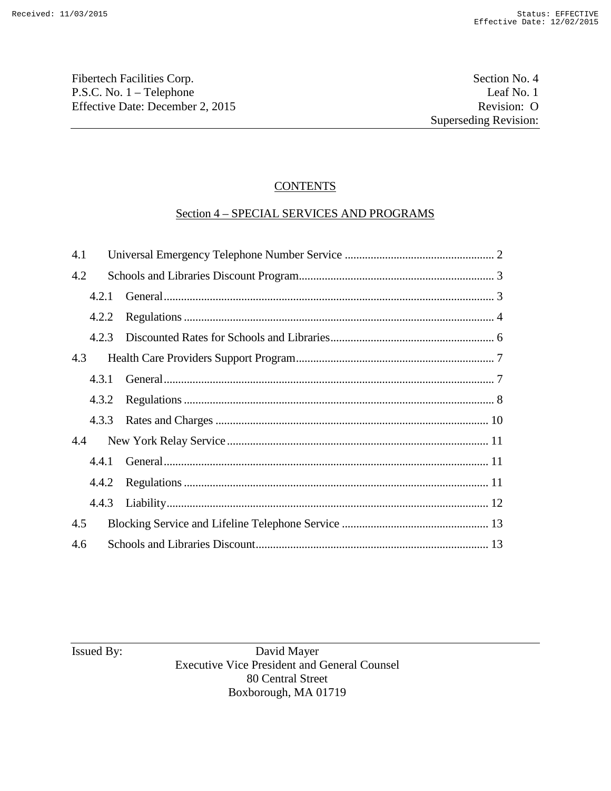Fibertech Facilities Corp. Section No. 4 P.S.C. No. 1 – Telephone Leaf No. 1<br>
Effective Date: December 2, 2015 Revision: O Effective Date: December 2, 2015

# **CONTENTS**

# Section 4 – SPECIAL SERVICES AND PROGRAMS

| 4.1 |       |  |  |
|-----|-------|--|--|
| 4.2 |       |  |  |
|     | 4.2.1 |  |  |
|     | 4.2.2 |  |  |
|     |       |  |  |
| 4.3 |       |  |  |
|     | 4.3.1 |  |  |
|     |       |  |  |
|     |       |  |  |
| 4.4 |       |  |  |
|     |       |  |  |
|     |       |  |  |
|     |       |  |  |
| 4.5 |       |  |  |
| 4.6 |       |  |  |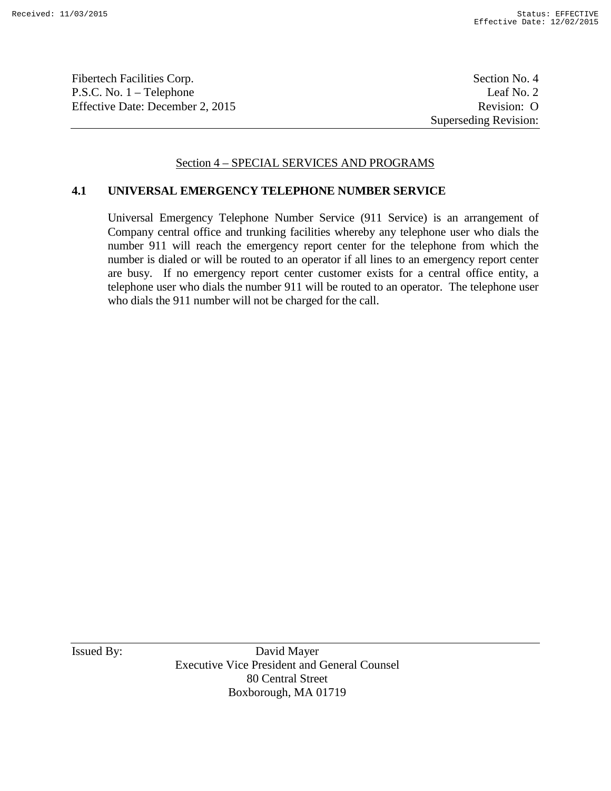Fibertech Facilities Corp. Section No. 4 P.S.C. No. 1 – Telephone Leaf No. 2 Effective Date: December 2, 2015 Revision: O

Superseding Revision:

## Section 4 – SPECIAL SERVICES AND PROGRAMS

### **4.1 UNIVERSAL EMERGENCY TELEPHONE NUMBER SERVICE**

Universal Emergency Telephone Number Service (911 Service) is an arrangement of Company central office and trunking facilities whereby any telephone user who dials the number 911 will reach the emergency report center for the telephone from which the number is dialed or will be routed to an operator if all lines to an emergency report center are busy. If no emergency report center customer exists for a central office entity, a telephone user who dials the number 911 will be routed to an operator. The telephone user who dials the 911 number will not be charged for the call.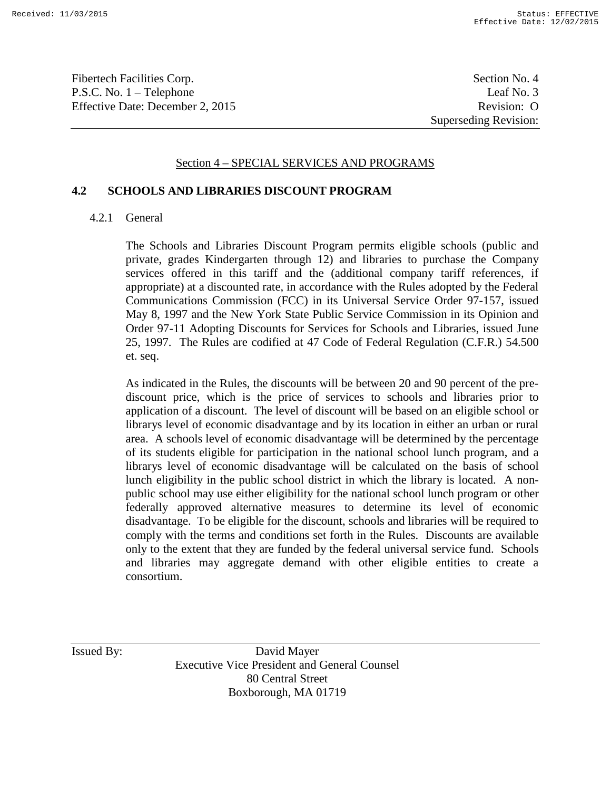Fibertech Facilities Corp. Section No. 4 P.S.C. No. 1 – Telephone Leaf No. 3 Effective Date: December 2, 2015 Revision: O

Superseding Revision:

#### Section 4 – SPECIAL SERVICES AND PROGRAMS

#### **4.2 SCHOOLS AND LIBRARIES DISCOUNT PROGRAM**

#### 4.2.1 General

The Schools and Libraries Discount Program permits eligible schools (public and private, grades Kindergarten through 12) and libraries to purchase the Company services offered in this tariff and the (additional company tariff references, if appropriate) at a discounted rate, in accordance with the Rules adopted by the Federal Communications Commission (FCC) in its Universal Service Order 97-157, issued May 8, 1997 and the New York State Public Service Commission in its Opinion and Order 97-11 Adopting Discounts for Services for Schools and Libraries, issued June 25, 1997. The Rules are codified at 47 Code of Federal Regulation (C.F.R.) 54.500 et. seq.

As indicated in the Rules, the discounts will be between 20 and 90 percent of the prediscount price, which is the price of services to schools and libraries prior to application of a discount. The level of discount will be based on an eligible school or librarys level of economic disadvantage and by its location in either an urban or rural area. A schools level of economic disadvantage will be determined by the percentage of its students eligible for participation in the national school lunch program, and a librarys level of economic disadvantage will be calculated on the basis of school lunch eligibility in the public school district in which the library is located. A nonpublic school may use either eligibility for the national school lunch program or other federally approved alternative measures to determine its level of economic disadvantage. To be eligible for the discount, schools and libraries will be required to comply with the terms and conditions set forth in the Rules. Discounts are available only to the extent that they are funded by the federal universal service fund. Schools and libraries may aggregate demand with other eligible entities to create a consortium.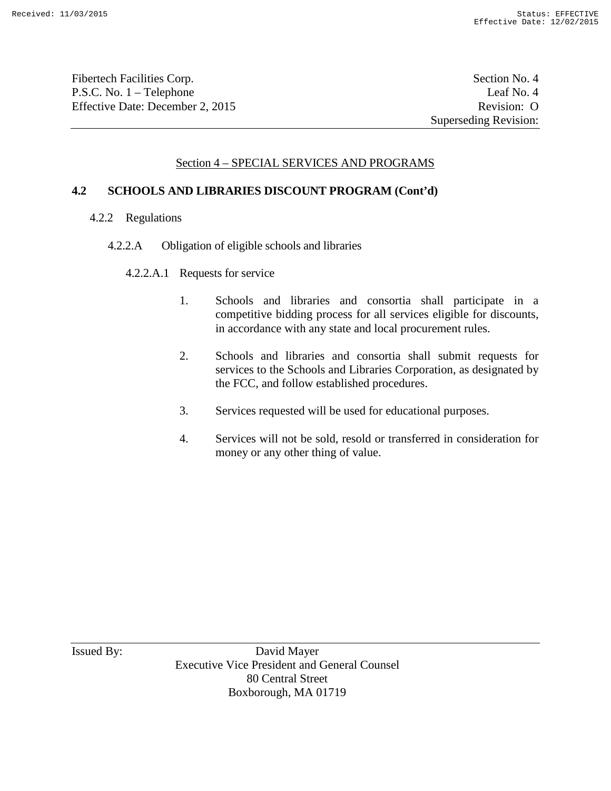Fibertech Facilities Corp. Section No. 4 P.S.C. No. 1 – Telephone Leaf No. 4 Effective Date: December 2, 2015 Revision: O

# Section 4 – SPECIAL SERVICES AND PROGRAMS

### **4.2 SCHOOLS AND LIBRARIES DISCOUNT PROGRAM (Cont'd)**

- 4.2.2 Regulations
	- 4.2.2.A Obligation of eligible schools and libraries

#### 4.2.2.A.1 Requests for service

- 1. Schools and libraries and consortia shall participate in a competitive bidding process for all services eligible for discounts, in accordance with any state and local procurement rules.
- 2. Schools and libraries and consortia shall submit requests for services to the Schools and Libraries Corporation, as designated by the FCC, and follow established procedures.
- 3. Services requested will be used for educational purposes.
- 4. Services will not be sold, resold or transferred in consideration for money or any other thing of value.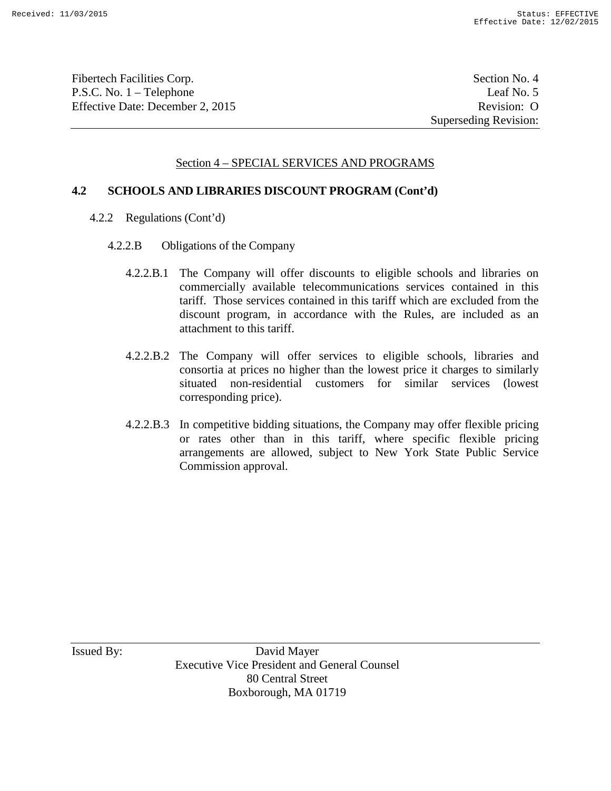Fibertech Facilities Corp. Section No. 4 P.S.C. No. 1 – Telephone Leaf No. 5 Effective Date: December 2, 2015 Revision: O

## Section 4 – SPECIAL SERVICES AND PROGRAMS

### **4.2 SCHOOLS AND LIBRARIES DISCOUNT PROGRAM (Cont'd)**

- 4.2.2 Regulations (Cont'd)
	- 4.2.2.B Obligations of the Company
		- 4.2.2.B.1 The Company will offer discounts to eligible schools and libraries on commercially available telecommunications services contained in this tariff. Those services contained in this tariff which are excluded from the discount program, in accordance with the Rules, are included as an attachment to this tariff.
		- 4.2.2.B.2 The Company will offer services to eligible schools, libraries and consortia at prices no higher than the lowest price it charges to similarly situated non-residential customers for similar services (lowest corresponding price).
		- 4.2.2.B.3 In competitive bidding situations, the Company may offer flexible pricing or rates other than in this tariff, where specific flexible pricing arrangements are allowed, subject to New York State Public Service Commission approval.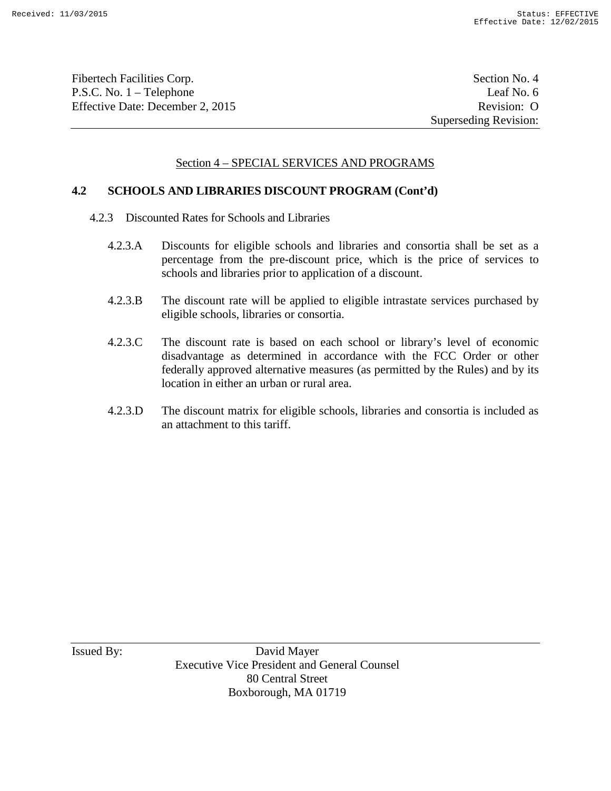Fibertech Facilities Corp. Section No. 4 P.S.C. No. 1 – Telephone Leaf No. 6 Effective Date: December 2, 2015 Revision: O

## Section 4 – SPECIAL SERVICES AND PROGRAMS

### **4.2 SCHOOLS AND LIBRARIES DISCOUNT PROGRAM (Cont'd)**

- 4.2.3 Discounted Rates for Schools and Libraries
	- 4.2.3.A Discounts for eligible schools and libraries and consortia shall be set as a percentage from the pre-discount price, which is the price of services to schools and libraries prior to application of a discount.
	- 4.2.3.B The discount rate will be applied to eligible intrastate services purchased by eligible schools, libraries or consortia.
	- 4.2.3.C The discount rate is based on each school or library's level of economic disadvantage as determined in accordance with the FCC Order or other federally approved alternative measures (as permitted by the Rules) and by its location in either an urban or rural area.
	- 4.2.3.D The discount matrix for eligible schools, libraries and consortia is included as an attachment to this tariff.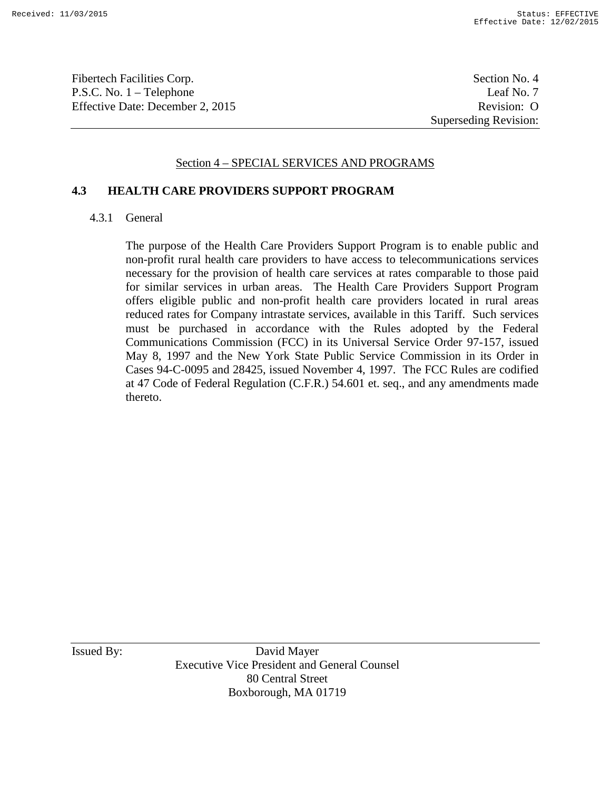Fibertech Facilities Corp. Section No. 4 P.S.C. No. 1 – Telephone Leaf No. 7 Effective Date: December 2, 2015 Revision: O

Superseding Revision:

### Section 4 – SPECIAL SERVICES AND PROGRAMS

#### **4.3 HEALTH CARE PROVIDERS SUPPORT PROGRAM**

#### 4.3.1 General

The purpose of the Health Care Providers Support Program is to enable public and non-profit rural health care providers to have access to telecommunications services necessary for the provision of health care services at rates comparable to those paid for similar services in urban areas. The Health Care Providers Support Program offers eligible public and non-profit health care providers located in rural areas reduced rates for Company intrastate services, available in this Tariff. Such services must be purchased in accordance with the Rules adopted by the Federal Communications Commission (FCC) in its Universal Service Order 97-157, issued May 8, 1997 and the New York State Public Service Commission in its Order in Cases 94-C-0095 and 28425, issued November 4, 1997. The FCC Rules are codified at 47 Code of Federal Regulation (C.F.R.) 54.601 et. seq., and any amendments made thereto.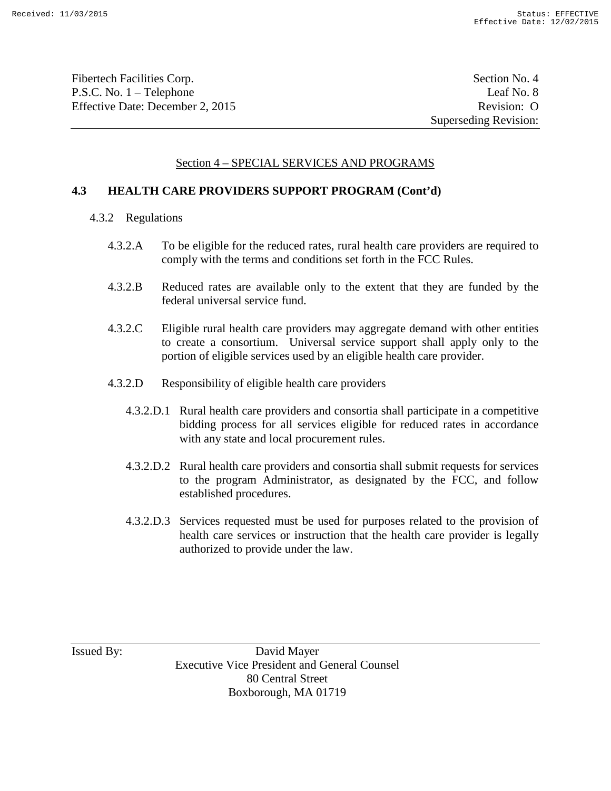Fibertech Facilities Corp. Section No. 4 P.S.C. No. 1 – Telephone Leaf No. 8 Effective Date: December 2, 2015 Revision: O

## Section 4 – SPECIAL SERVICES AND PROGRAMS

### **4.3 HEALTH CARE PROVIDERS SUPPORT PROGRAM (Cont'd)**

- 4.3.2 Regulations
	- 4.3.2.A To be eligible for the reduced rates, rural health care providers are required to comply with the terms and conditions set forth in the FCC Rules.
	- 4.3.2.B Reduced rates are available only to the extent that they are funded by the federal universal service fund.
	- 4.3.2.C Eligible rural health care providers may aggregate demand with other entities to create a consortium. Universal service support shall apply only to the portion of eligible services used by an eligible health care provider.
	- 4.3.2.D Responsibility of eligible health care providers
		- 4.3.2.D.1 Rural health care providers and consortia shall participate in a competitive bidding process for all services eligible for reduced rates in accordance with any state and local procurement rules.
		- 4.3.2.D.2 Rural health care providers and consortia shall submit requests for services to the program Administrator, as designated by the FCC, and follow established procedures.
		- 4.3.2.D.3 Services requested must be used for purposes related to the provision of health care services or instruction that the health care provider is legally authorized to provide under the law.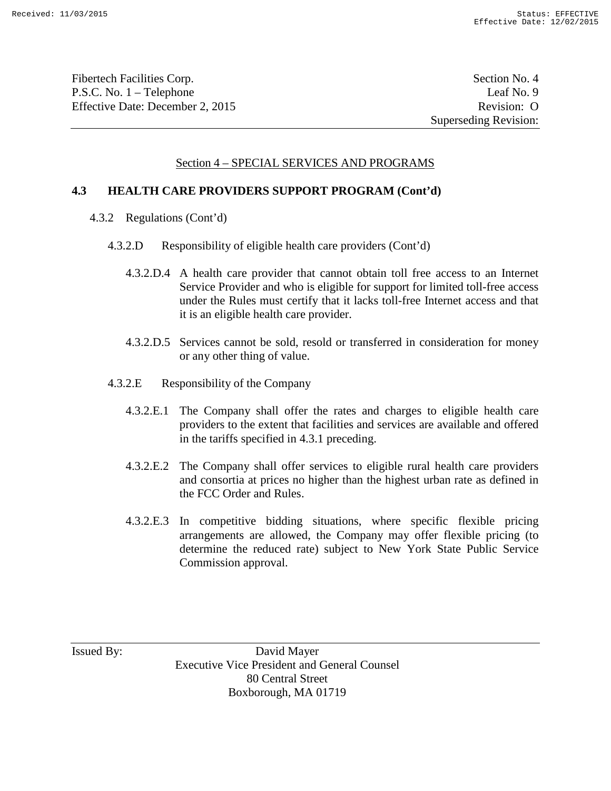Fibertech Facilities Corp. Section No. 4 P.S.C. No. 1 – Telephone Leaf No. 9 Effective Date: December 2, 2015 Revision: O

## Section 4 – SPECIAL SERVICES AND PROGRAMS

### **4.3 HEALTH CARE PROVIDERS SUPPORT PROGRAM (Cont'd)**

- 4.3.2 Regulations (Cont'd)
	- 4.3.2.D Responsibility of eligible health care providers (Cont'd)
		- 4.3.2.D.4 A health care provider that cannot obtain toll free access to an Internet Service Provider and who is eligible for support for limited toll-free access under the Rules must certify that it lacks toll-free Internet access and that it is an eligible health care provider.
		- 4.3.2.D.5 Services cannot be sold, resold or transferred in consideration for money or any other thing of value.
	- 4.3.2.E Responsibility of the Company
		- 4.3.2.E.1 The Company shall offer the rates and charges to eligible health care providers to the extent that facilities and services are available and offered in the tariffs specified in 4.3.1 preceding.
		- 4.3.2.E.2 The Company shall offer services to eligible rural health care providers and consortia at prices no higher than the highest urban rate as defined in the FCC Order and Rules.
		- 4.3.2.E.3 In competitive bidding situations, where specific flexible pricing arrangements are allowed, the Company may offer flexible pricing (to determine the reduced rate) subject to New York State Public Service Commission approval.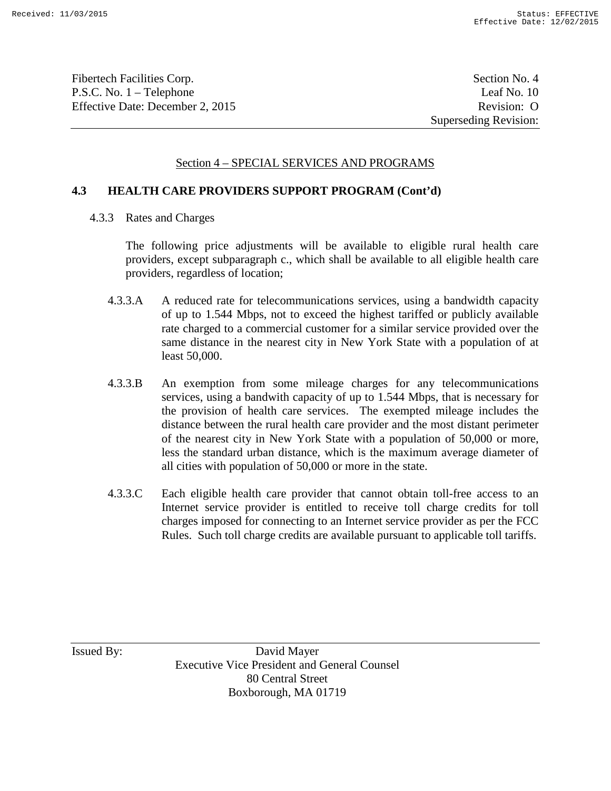Fibertech Facilities Corp. Section No. 4 P.S.C. No. 1 – Telephone Leaf No. 10 Effective Date: December 2, 2015 Revision: O

## Section 4 – SPECIAL SERVICES AND PROGRAMS

### **4.3 HEALTH CARE PROVIDERS SUPPORT PROGRAM (Cont'd)**

4.3.3 Rates and Charges

The following price adjustments will be available to eligible rural health care providers, except subparagraph c., which shall be available to all eligible health care providers, regardless of location;

- 4.3.3.A A reduced rate for telecommunications services, using a bandwidth capacity of up to 1.544 Mbps, not to exceed the highest tariffed or publicly available rate charged to a commercial customer for a similar service provided over the same distance in the nearest city in New York State with a population of at least 50,000.
- 4.3.3.B An exemption from some mileage charges for any telecommunications services, using a bandwith capacity of up to 1.544 Mbps, that is necessary for the provision of health care services. The exempted mileage includes the distance between the rural health care provider and the most distant perimeter of the nearest city in New York State with a population of 50,000 or more, less the standard urban distance, which is the maximum average diameter of all cities with population of 50,000 or more in the state.
- 4.3.3.C Each eligible health care provider that cannot obtain toll-free access to an Internet service provider is entitled to receive toll charge credits for toll charges imposed for connecting to an Internet service provider as per the FCC Rules. Such toll charge credits are available pursuant to applicable toll tariffs.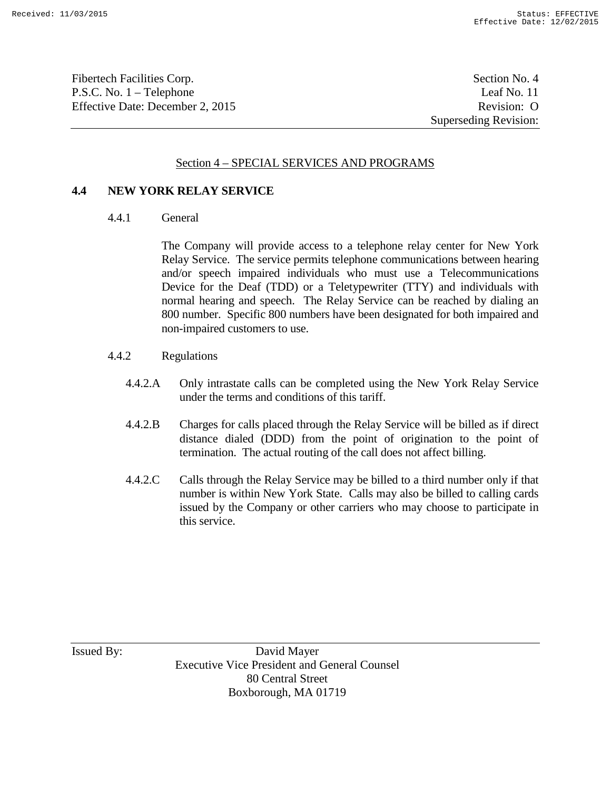Fibertech Facilities Corp. Section No. 4 P.S.C. No. 1 – Telephone Leaf No. 11 Effective Date: December 2, 2015 Revision: O

Superseding Revision:

### Section 4 – SPECIAL SERVICES AND PROGRAMS

#### **4.4 NEW YORK RELAY SERVICE**

4.4.1 General

The Company will provide access to a telephone relay center for New York Relay Service. The service permits telephone communications between hearing and/or speech impaired individuals who must use a Telecommunications Device for the Deaf (TDD) or a Teletypewriter (TTY) and individuals with normal hearing and speech. The Relay Service can be reached by dialing an 800 number. Specific 800 numbers have been designated for both impaired and non-impaired customers to use.

- 4.4.2 Regulations
	- 4.4.2.A Only intrastate calls can be completed using the New York Relay Service under the terms and conditions of this tariff.
	- 4.4.2.B Charges for calls placed through the Relay Service will be billed as if direct distance dialed (DDD) from the point of origination to the point of termination. The actual routing of the call does not affect billing.
	- 4.4.2.C Calls through the Relay Service may be billed to a third number only if that number is within New York State. Calls may also be billed to calling cards issued by the Company or other carriers who may choose to participate in this service.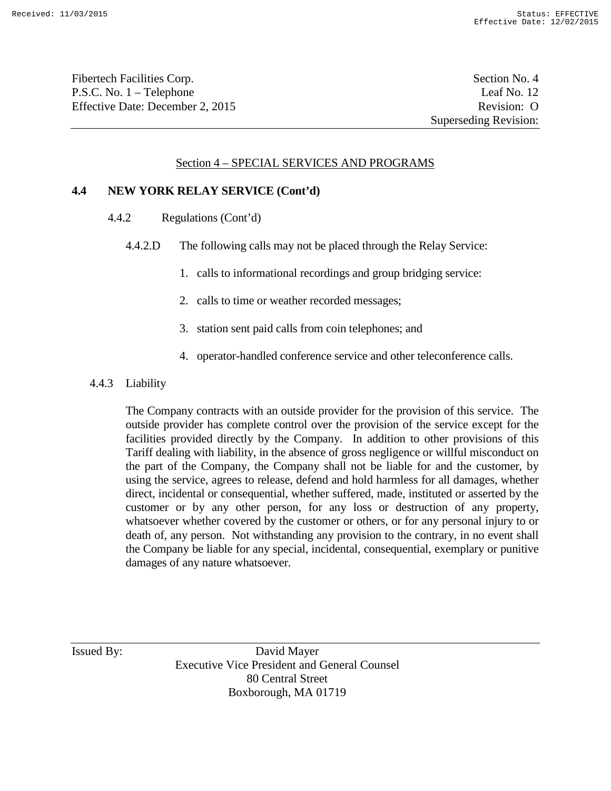Fibertech Facilities Corp. Section No. 4 P.S.C. No. 1 – Telephone Leaf No. 12 Effective Date: December 2, 2015 Revision: O

### Section 4 – SPECIAL SERVICES AND PROGRAMS

#### **4.4 NEW YORK RELAY SERVICE (Cont'd)**

- 4.4.2 Regulations (Cont'd)
	- 4.4.2.D The following calls may not be placed through the Relay Service:
		- 1. calls to informational recordings and group bridging service:
		- 2. calls to time or weather recorded messages;
		- 3. station sent paid calls from coin telephones; and
		- 4. operator-handled conference service and other teleconference calls.

#### 4.4.3 Liability

The Company contracts with an outside provider for the provision of this service. The outside provider has complete control over the provision of the service except for the facilities provided directly by the Company. In addition to other provisions of this Tariff dealing with liability, in the absence of gross negligence or willful misconduct on the part of the Company, the Company shall not be liable for and the customer, by using the service, agrees to release, defend and hold harmless for all damages, whether direct, incidental or consequential, whether suffered, made, instituted or asserted by the customer or by any other person, for any loss or destruction of any property, whatsoever whether covered by the customer or others, or for any personal injury to or death of, any person. Not withstanding any provision to the contrary, in no event shall the Company be liable for any special, incidental, consequential, exemplary or punitive damages of any nature whatsoever.